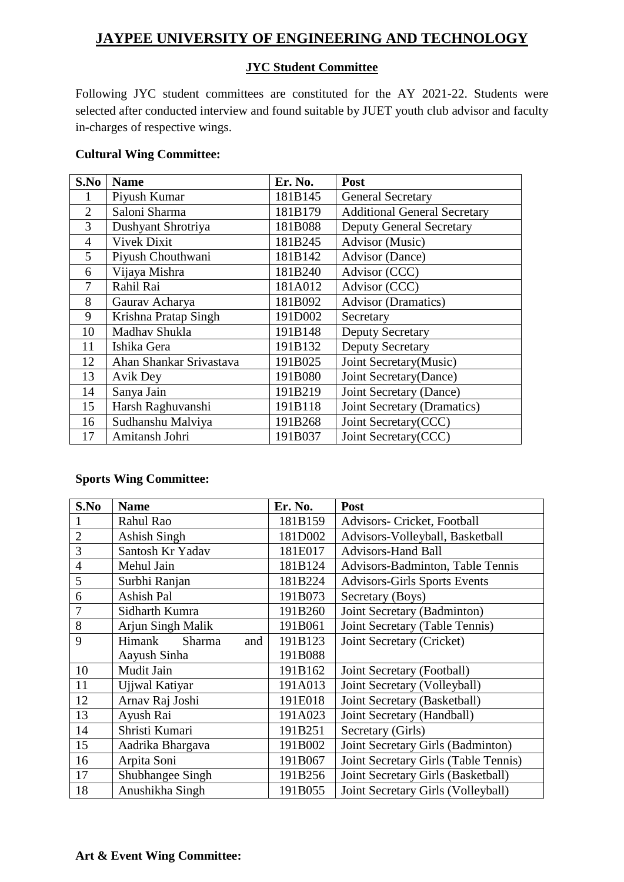## **JAYPEE UNIVERSITY OF ENGINEERING AND TECHNOLOGY**

## **JYC Student Committee**

Following JYC student committees are constituted for the AY 2021-22. Students were selected after conducted interview and found suitable by JUET youth club advisor and faculty in-charges of respective wings.

#### **Cultural Wing Committee:**

| S.No           | <b>Name</b>             | Er. No. | Post                                |
|----------------|-------------------------|---------|-------------------------------------|
| 1              | Piyush Kumar            | 181B145 | <b>General Secretary</b>            |
| $\overline{2}$ | Saloni Sharma           | 181B179 | <b>Additional General Secretary</b> |
| 3              | Dushyant Shrotriya      | 181B088 | <b>Deputy General Secretary</b>     |
| $\overline{4}$ | <b>Vivek Dixit</b>      | 181B245 | Advisor (Music)                     |
| 5              | Piyush Chouthwani       | 181B142 | <b>Advisor</b> (Dance)              |
| 6              | Vijaya Mishra           | 181B240 | Advisor (CCC)                       |
| 7              | Rahil Rai               | 181A012 | Advisor (CCC)                       |
| 8              | Gaurav Acharya          | 181B092 | <b>Advisor (Dramatics)</b>          |
| 9              | Krishna Pratap Singh    | 191D002 | Secretary                           |
| 10             | Madhav Shukla           | 191B148 | <b>Deputy Secretary</b>             |
| 11             | Ishika Gera             | 191B132 | <b>Deputy Secretary</b>             |
| 12             | Ahan Shankar Srivastava | 191B025 | Joint Secretary(Music)              |
| 13             | Avik Dey                | 191B080 | Joint Secretary (Dance)             |
| 14             | Sanya Jain              | 191B219 | Joint Secretary (Dance)             |
| 15             | Harsh Raghuvanshi       | 191B118 | Joint Secretary (Dramatics)         |
| 16             | Sudhanshu Malviya       | 191B268 | Joint Secretary(CCC)                |
| 17             | Amitansh Johri          | 191B037 | Joint Secretary(CCC)                |

#### **Sports Wing Committee:**

| S.No           | <b>Name</b>             | Er. No. | Post                                 |
|----------------|-------------------------|---------|--------------------------------------|
|                | Rahul Rao               | 181B159 | Advisors- Cricket, Football          |
| $\overline{2}$ | Ashish Singh            | 181D002 | Advisors-Volleyball, Basketball      |
| 3              | Santosh Kr Yadav        | 181E017 | <b>Advisors-Hand Ball</b>            |
| $\overline{4}$ | Mehul Jain              | 181B124 | Advisors-Badminton, Table Tennis     |
| 5              | Surbhi Ranjan           | 181B224 | <b>Advisors-Girls Sports Events</b>  |
| 6              | Ashish Pal              | 191B073 | Secretary (Boys)                     |
| 7              | Sidharth Kumra          | 191B260 | Joint Secretary (Badminton)          |
| 8              | Arjun Singh Malik       | 191B061 | Joint Secretary (Table Tennis)       |
| 9              | Himank<br>Sharma<br>and | 191B123 | Joint Secretary (Cricket)            |
|                | Aayush Sinha            | 191B088 |                                      |
| 10             | Mudit Jain              | 191B162 | Joint Secretary (Football)           |
| 11             | Ujjwal Katiyar          | 191A013 | Joint Secretary (Volleyball)         |
| 12             | Arnav Raj Joshi         | 191E018 | Joint Secretary (Basketball)         |
| 13             | Ayush Rai               | 191A023 | Joint Secretary (Handball)           |
| 14             | Shristi Kumari          | 191B251 | Secretary (Girls)                    |
| 15             | Aadrika Bhargava        | 191B002 | Joint Secretary Girls (Badminton)    |
| 16             | Arpita Soni             | 191B067 | Joint Secretary Girls (Table Tennis) |
| 17             | Shubhangee Singh        | 191B256 | Joint Secretary Girls (Basketball)   |
| 18             | Anushikha Singh         | 191B055 | Joint Secretary Girls (Volleyball)   |